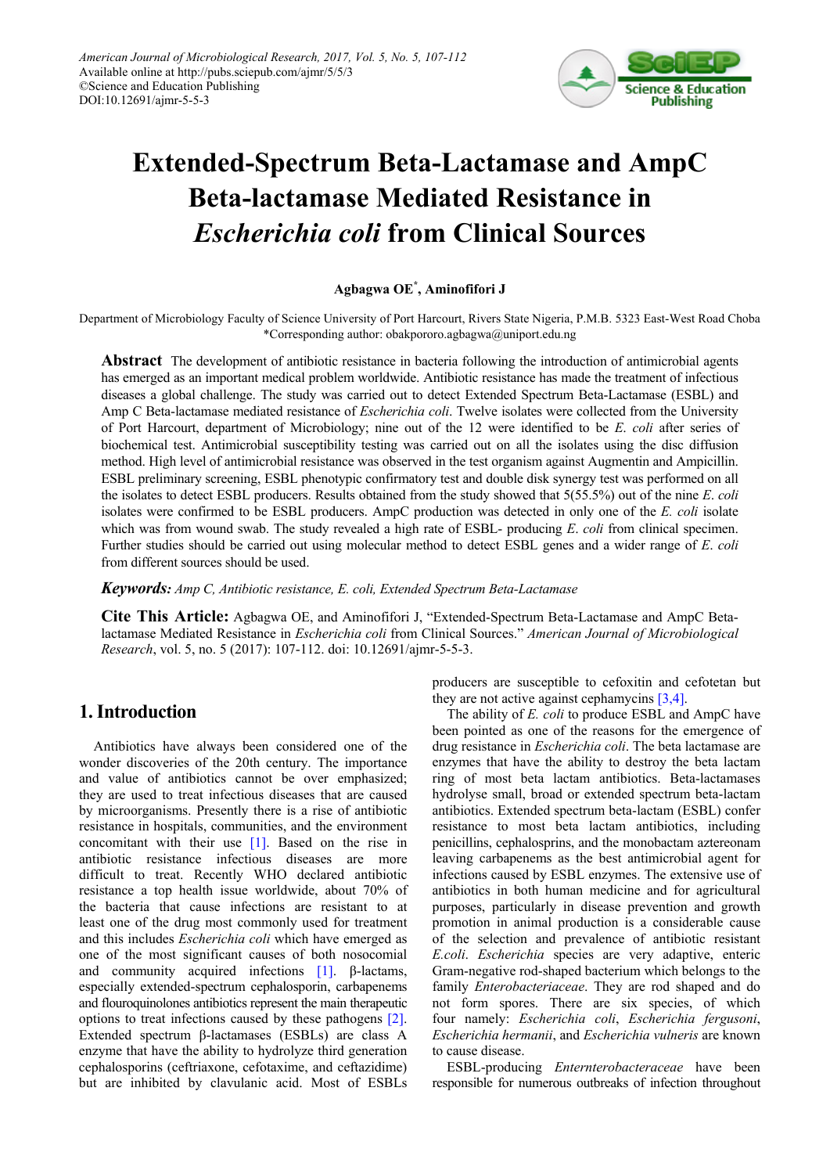

# **Extended-Spectrum Beta-Lactamase and AmpC Beta-lactamase Mediated Resistance in**  *Escherichia coli* **from Clinical Sources**

## **Agbagwa OE\* , Aminofifori J**

Department of Microbiology Faculty of Science University of Port Harcourt, Rivers State Nigeria, P.M.B. 5323 East-West Road Choba \*Corresponding author: obakpororo.agbagwa@uniport.edu.ng

**Abstract** The development of antibiotic resistance in bacteria following the introduction of antimicrobial agents has emerged as an important medical problem worldwide. Antibiotic resistance has made the treatment of infectious diseases a global challenge. The study was carried out to detect Extended Spectrum Beta-Lactamase (ESBL) and Amp C Beta-lactamase mediated resistance of *Escherichia coli*. Twelve isolates were collected from the University of Port Harcourt, department of Microbiology; nine out of the 12 were identified to be *E*. *coli* after series of biochemical test. Antimicrobial susceptibility testing was carried out on all the isolates using the disc diffusion method. High level of antimicrobial resistance was observed in the test organism against Augmentin and Ampicillin. ESBL preliminary screening, ESBL phenotypic confirmatory test and double disk synergy test was performed on all the isolates to detect ESBL producers. Results obtained from the study showed that 5(55.5%) out of the nine *E*. *coli* isolates were confirmed to be ESBL producers. AmpC production was detected in only one of the *E. coli* isolate which was from wound swab. The study revealed a high rate of ESBL- producing *E*. *coli* from clinical specimen. Further studies should be carried out using molecular method to detect ESBL genes and a wider range of *E*. *coli* from different sources should be used.

*Keywords: Amp C, Antibiotic resistance, E. coli, Extended Spectrum Beta-Lactamase*

**Cite This Article:** Agbagwa OE, and Aminofifori J, "Extended-Spectrum Beta-Lactamase and AmpC Betalactamase Mediated Resistance in *Escherichia coli* from Clinical Sources." *American Journal of Microbiological Research*, vol. 5, no. 5 (2017): 107-112. doi: 10.12691/ajmr-5-5-3.

# **1. Introduction**

Antibiotics have always been considered one of the wonder discoveries of the 20th century. The importance and value of antibiotics cannot be over emphasized; they are used to treat infectious diseases that are caused by microorganisms. Presently there is a rise of antibiotic resistance in hospitals, communities, and the environment concomitant with their use [\[1\].](#page-4-0) Based on the rise in antibiotic resistance infectious diseases are more difficult to treat. Recently WHO declared antibiotic resistance a top health issue worldwide, about 70% of the bacteria that cause infections are resistant to at least one of the drug most commonly used for treatment and this includes *Escherichia coli* which have emerged as one of the most significant causes of both nosocomial and community acquired infections  $[1]$ . β-lactams, especially extended-spectrum cephalosporin, carbapenems and flouroquinolones antibiotics represent the main therapeutic options to treat infections caused by these pathogens [\[2\].](#page-4-1) Extended spectrum β-lactamases (ESBLs) are class A enzyme that have the ability to hydrolyze third generation cephalosporins (ceftriaxone, cefotaxime, and ceftazidime) but are inhibited by clavulanic acid. Most of ESBLs

producers are susceptible to cefoxitin and cefotetan but they are not active against cephamycins  $[3,4]$ .

The ability of *E. coli* to produce ESBL and AmpC have been pointed as one of the reasons for the emergence of drug resistance in *Escherichia coli*. The beta lactamase are enzymes that have the ability to destroy the beta lactam ring of most beta lactam antibiotics. Beta-lactamases hydrolyse small, broad or extended spectrum beta-lactam antibiotics. Extended spectrum beta-lactam (ESBL) confer resistance to most beta lactam antibiotics, including penicillins, cephalosprins, and the monobactam aztereonam leaving carbapenems as the best antimicrobial agent for infections caused by ESBL enzymes. The extensive use of antibiotics in both human medicine and for agricultural purposes, particularly in disease prevention and growth promotion in animal production is a considerable cause of the selection and prevalence of antibiotic resistant *E.coli*. *Escherichia* species are very adaptive, enteric Gram-negative rod-shaped bacterium which belongs to the family *Enterobacteriaceae*. They are rod shaped and do not form spores. There are six species, of which four namely: *Escherichia coli*, *Escherichia fergusoni*, *Escherichia hermanii*, and *Escherichia vulneris* are known to cause disease.

ESBL-producing *Enternterobacteraceae* have been responsible for numerous outbreaks of infection throughout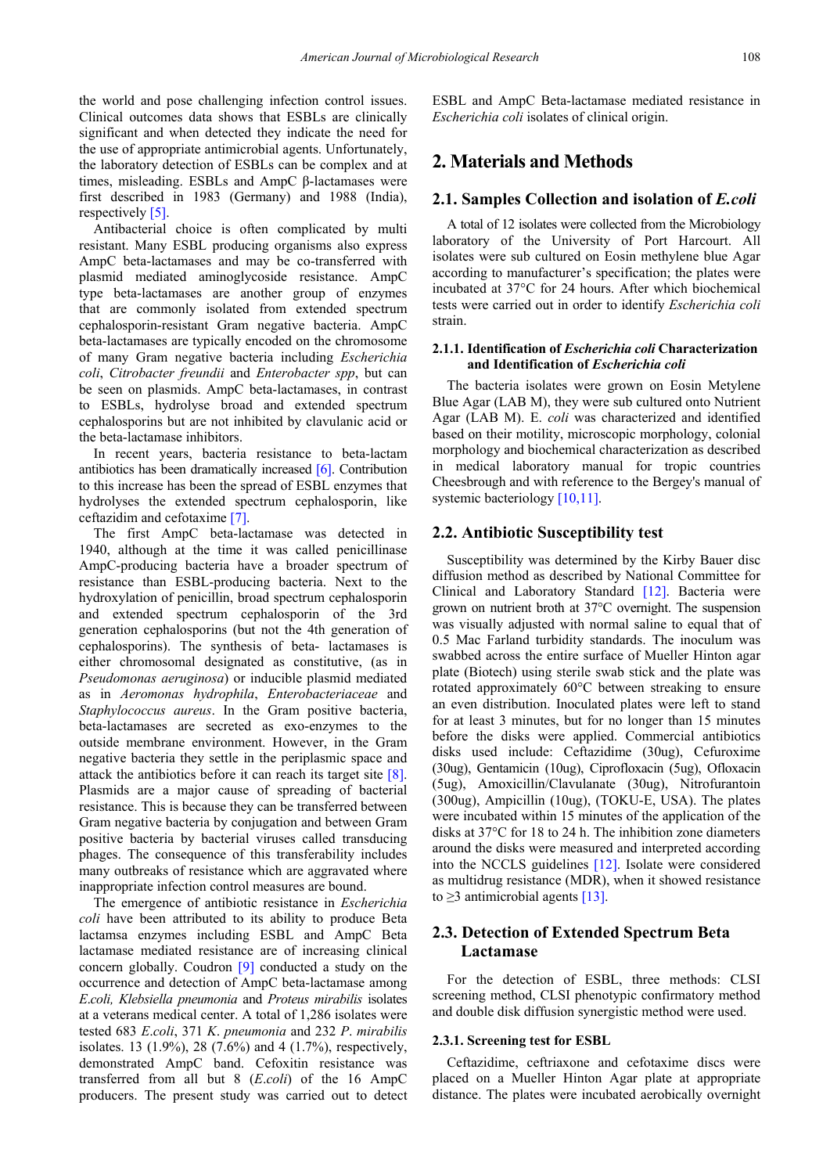the world and pose challenging infection control issues. Clinical outcomes data shows that ESBLs are clinically significant and when detected they indicate the need for the use of appropriate antimicrobial agents. Unfortunately, the laboratory detection of ESBLs can be complex and at times, misleading. ESBLs and AmpC β-lactamases were first described in 1983 (Germany) and 1988 (India), respectivel[y \[5\].](#page-4-3)

Antibacterial choice is often complicated by multi resistant. Many ESBL producing organisms also express AmpC beta-lactamases and may be co-transferred with plasmid mediated aminoglycoside resistance. AmpC type beta-lactamases are another group of enzymes that are commonly isolated from extended spectrum cephalosporin-resistant Gram negative bacteria. AmpC beta-lactamases are typically encoded on the chromosome of many Gram negative bacteria including *Escherichia coli*, *Citrobacter freundii* and *Enterobacter spp*, but can be seen on plasmids. AmpC beta-lactamases, in contrast to ESBLs, hydrolyse broad and extended spectrum cephalosporins but are not inhibited by clavulanic acid or the beta-lactamase inhibitors.

In recent years, bacteria resistance to beta-lactam antibiotics has been dramatically increased [\[6\].](#page-4-4) Contribution to this increase has been the spread of ESBL enzymes that hydrolyses the extended spectrum cephalosporin, like ceftazidim and cefotaxime [\[7\].](#page-4-5)

The first AmpC beta-lactamase was detected in 1940, although at the time it was called penicillinase AmpC-producing bacteria have a broader spectrum of resistance than ESBL-producing bacteria. Next to the hydroxylation of penicillin, broad spectrum cephalosporin and extended spectrum cephalosporin of the 3rd generation cephalosporins (but not the 4th generation of cephalosporins). The synthesis of beta- lactamases is either chromosomal designated as constitutive, (as in *Pseudomonas aeruginosa*) or inducible plasmid mediated as in *Aeromonas hydrophila*, *Enterobacteriaceae* and *Staphylococcus aureus*. In the Gram positive bacteria, beta-lactamases are secreted as exo-enzymes to the outside membrane environment. However, in the Gram negative bacteria they settle in the periplasmic space and attack the antibiotics before it can reach its target site [\[8\].](#page-4-6) Plasmids are a major cause of spreading of bacterial resistance. This is because they can be transferred between Gram negative bacteria by conjugation and between Gram positive bacteria by bacterial viruses called transducing phages. The consequence of this transferability includes many outbreaks of resistance which are aggravated where inappropriate infection control measures are bound.

The emergence of antibiotic resistance in *Escherichia coli* have been attributed to its ability to produce Beta lactamsa enzymes including ESBL and AmpC Beta lactamase mediated resistance are of increasing clinical concern globally. Coudron [\[9\]](#page-4-7) conducted a study on the occurrence and detection of AmpC beta-lactamase among *E*.*coli, Klebsiella pneumonia* and *Proteus mirabilis* isolates at a veterans medical center. A total of 1,286 isolates were tested 683 *E*.*coli*, 371 *K*. *pneumonia* and 232 *P*. *mirabilis* isolates. 13 (1.9%), 28 (7.6%) and 4 (1.7%), respectively, demonstrated AmpC band. Cefoxitin resistance was transferred from all but 8 (*E*.*coli*) of the 16 AmpC producers. The present study was carried out to detect ESBL and AmpC Beta-lactamase mediated resistance in *Escherichia coli* isolates of clinical origin.

# **2. Materials and Methods**

#### **2.1. Samples Collection and isolation of** *E.coli*

A total of 12 isolates were collected from the Microbiology laboratory of the University of Port Harcourt. All isolates were sub cultured on Eosin methylene blue Agar according to manufacturer's specification; the plates were incubated at 37°C for 24 hours. After which biochemical tests were carried out in order to identify *Escherichia coli* strain.

#### **2.1.1. Identification of** *Escherichia coli* **Characterization and Identification of** *Escherichia coli*

The bacteria isolates were grown on Eosin Metylene Blue Agar (LAB M), they were sub cultured onto Nutrient Agar (LAB M). E. *coli* was characterized and identified based on their motility, microscopic morphology, colonial morphology and biochemical characterization as described in medical laboratory manual for tropic countries Cheesbrough and with reference to the Bergey's manual of systemic bacteriology [\[10,11\].](#page-4-8)

#### **2.2. Antibiotic Susceptibility test**

Susceptibility was determined by the Kirby Bauer disc diffusion method as described by National Committee for Clinical and Laboratory Standard [\[12\].](#page-4-9) Bacteria were grown on nutrient broth at 37°C overnight. The suspension was visually adjusted with normal saline to equal that of 0.5 Mac Farland turbidity standards. The inoculum was swabbed across the entire surface of Mueller Hinton agar plate (Biotech) using sterile swab stick and the plate was rotated approximately 60°C between streaking to ensure an even distribution. Inoculated plates were left to stand for at least 3 minutes, but for no longer than 15 minutes before the disks were applied. Commercial antibiotics disks used include: Ceftazidime (30ug), Cefuroxime (30ug), Gentamicin (10ug), Ciprofloxacin (5ug), Ofloxacin (5ug), Amoxicillin/Clavulanate (30ug), Nitrofurantoin (300ug), Ampicillin (10ug), (TOKU-E, USA). The plates were incubated within 15 minutes of the application of the disks at 37°C for 18 to 24 h. The inhibition zone diameters around the disks were measured and interpreted according into the NCCLS guidelines [\[12\].](#page-4-9) Isolate were considered as multidrug resistance (MDR), when it showed resistance to  $\geq$ 3 antimicrobial agents [\[13\].](#page-4-10)

## **2.3. Detection of Extended Spectrum Beta Lactamase**

For the detection of ESBL, three methods: CLSI screening method, CLSI phenotypic confirmatory method and double disk diffusion synergistic method were used.

#### **2.3.1. Screening test for ESBL**

Ceftazidime, ceftriaxone and cefotaxime discs were placed on a Mueller Hinton Agar plate at appropriate distance. The plates were incubated aerobically overnight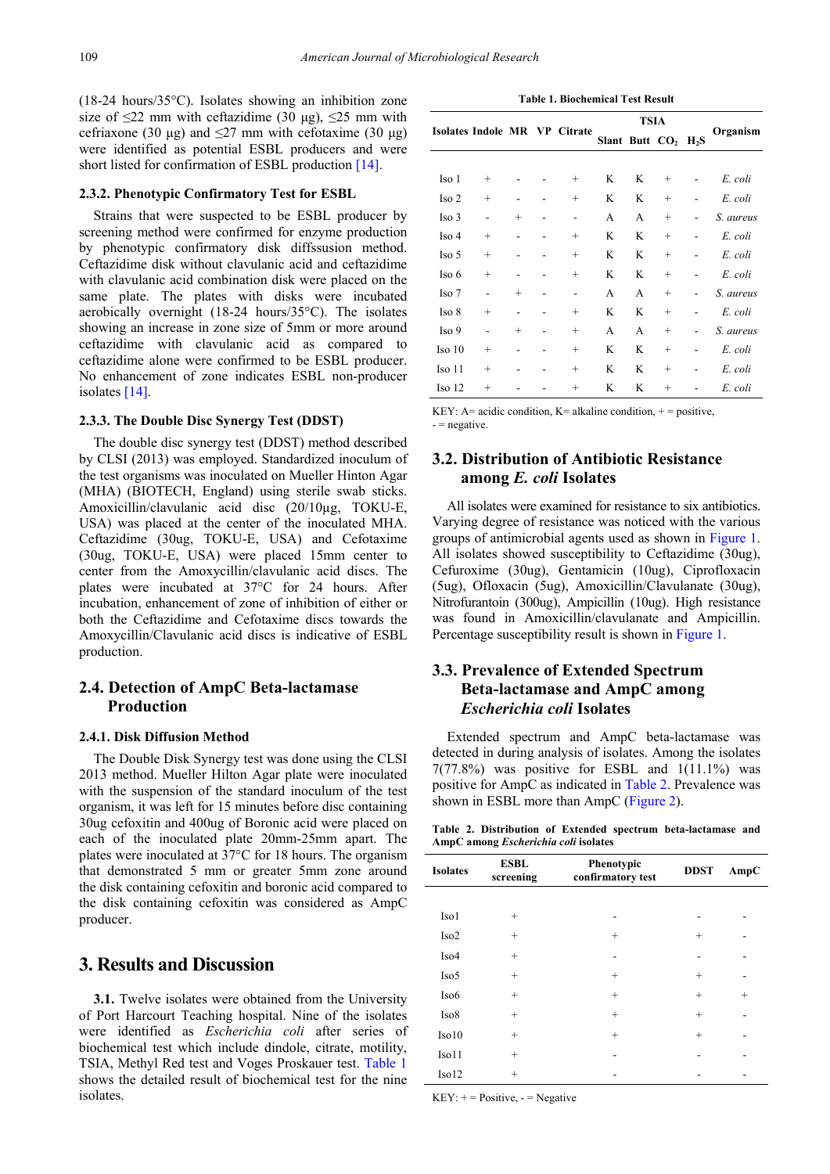(18-24 hours/35°C). Isolates showing an inhibition zone size of  $\leq$ 22 mm with ceftazidime (30 μg),  $\leq$ 25 mm with cefriaxone (30 μg) and  $\leq$ 27 mm with cefotaxime (30 μg) were identified as potential ESBL producers and were short listed for confirmation of ESBL production [\[14\].](#page-4-11)

#### **2.3.2. Phenotypic Confirmatory Test for ESBL**

Strains that were suspected to be ESBL producer by screening method were confirmed for enzyme production by phenotypic confirmatory disk diffssusion method. Ceftazidime disk without clavulanic acid and ceftazidime with clavulanic acid combination disk were placed on the same plate. The plates with disks were incubated aerobically overnight (18-24 hours/35°C). The isolates showing an increase in zone size of 5mm or more around ceftazidime with clavulanic acid as compared to ceftazidime alone were confirmed to be ESBL producer. No enhancement of zone indicates ESBL non-producer isolates [\[14\].](#page-4-11)

#### **2.3.3. The Double Disc Synergy Test (DDST)**

The double disc synergy test (DDST) method described by CLSI (2013) was employed. Standardized inoculum of the test organisms was inoculated on Mueller Hinton Agar (MHA) (BIOTECH, England) using sterile swab sticks. Amoxicillin/clavulanic acid disc (20/10µg, TOKU-E, USA) was placed at the center of the inoculated MHA. Ceftazidime (30ug, TOKU-E, USA) and Cefotaxime (30ug, TOKU-E, USA) were placed 15mm center to center from the Amoxycillin/clavulanic acid discs. The plates were incubated at 37°C for 24 hours. After incubation, enhancement of zone of inhibition of either or both the Ceftazidime and Cefotaxime discs towards the Amoxycillin/Clavulanic acid discs is indicative of ESBL production.

## **2.4. Detection of AmpC Beta-lactamase Production**

#### **2.4.1. Disk Diffusion Method**

The Double Disk Synergy test was done using the CLSI 2013 method. Mueller Hilton Agar plate were inoculated with the suspension of the standard inoculum of the test organism, it was left for 15 minutes before disc containing 30ug cefoxitin and 400ug of Boronic acid were placed on each of the inoculated plate 20mm-25mm apart. The plates were inoculated at 37°C for 18 hours. The organism that demonstrated 5 mm or greater 5mm zone around the disk containing cefoxitin and boronic acid compared to the disk containing cefoxitin was considered as AmpC producer.

## **3. Results and Discussion**

**3.1.** Twelve isolates were obtained from the University of Port Harcourt Teaching hospital. Nine of the isolates were identified as *Escherichia coli* after series of biochemical test which include dindole, citrate, motility, TSIA, Methyl Red test and Voges Proskauer test. [Table 1](#page-2-0) shows the detailed result of biochemical test for the nine isolates.

**Table 1. Biochemical Test Result**

<span id="page-2-0"></span>

|                   |        |        | Isolates Indole MR VP Citrate | <b>TSIA</b>      |   |                |                  |           |
|-------------------|--------|--------|-------------------------------|------------------|---|----------------|------------------|-----------|
|                   |        |        |                               | Slant Butt $CO2$ |   |                | H <sub>2</sub> S | Organism  |
|                   |        |        |                               |                  |   |                |                  |           |
| Iso 1             | $^{+}$ |        | $^{+}$                        | K                | K | $\overline{+}$ |                  | E. coli   |
| Iso <sub>2</sub>  | $^{+}$ |        | $^{+}$                        | K                | K | $^{+}$         |                  | E. coli   |
| Iso 3             |        | $^{+}$ | -                             | A                | A | $^{+}$         |                  | S. aureus |
| Iso 4             | $^{+}$ |        | $^{+}$                        | K                | K | $^{+}$         |                  | E. coli   |
| Iso 5             | $^{+}$ |        | $^{+}$                        | K                | K | $^{+}$         |                  | E. coli   |
| Iso 6             | $^{+}$ |        | $^{+}$                        | K                | K | $\overline{+}$ |                  | E. coli   |
| Iso 7             |        | $^{+}$ |                               | A                | A | $^{+}$         |                  | S. aureus |
| Iso 8             | $^{+}$ |        | $^{+}$                        | K                | K | $^{+}$         |                  | E. coli   |
| Iso 9             |        | $^{+}$ | $^{+}$                        | A                | A | $^{+}$         |                  | S. aureus |
| Iso <sub>10</sub> | $^{+}$ |        | $^{+}$                        | K                | K | $^{+}$         |                  | E. coli   |
| Iso 11            | $^{+}$ |        | $^{+}$                        | K                | K | $^{+}$         |                  | E. coli   |
| Iso <sub>12</sub> | $^{+}$ |        | $^{+}$                        | K                | K | $\overline{+}$ |                  | E. coli   |

KEY:  $A = acidic$  condition,  $K = alkali$  condition,  $+ = positive$ ,  $-$  = negative.

# **3.2. Distribution of Antibiotic Resistance among** *E. coli* **Isolates**

All isolates were examined for resistance to six antibiotics. Varying degree of resistance was noticed with the various groups of antimicrobial agents used as shown in [Figure 1.](#page-3-0) All isolates showed susceptibility to Ceftazidime (30ug), Cefuroxime (30ug), Gentamicin (10ug), Ciprofloxacin (5ug), Ofloxacin (5ug), Amoxicillin/Clavulanate (30ug), Nitrofurantoin (300ug), Ampicillin (10ug). High resistance was found in Amoxicillin/clavulanate and Ampicillin. Percentage susceptibility result is shown in [Figure 1.](#page-3-0)

# **3.3. Prevalence of Extended Spectrum Beta-lactamase and AmpC among**  *Escherichia coli* **Isolates**

Extended spectrum and AmpC beta-lactamase was detected in during analysis of isolates. Among the isolates  $7(77.8%)$  was positive for ESBL and  $1(11.1%)$  was positive for AmpC as indicated in [Table 2.](#page-2-1) Prevalence was shown in ESBL more than AmpC [\(Figure](#page-3-1) 2).

**Table 2. Distribution of Extended spectrum beta-lactamase and AmpC among** *Escherichia coli* **isolates**

<span id="page-2-1"></span>

| <b>Isolates</b>  | <b>ESBL</b><br>screening | Phenotypic<br>confirmatory test | <b>DDST</b> | AmpC   |
|------------------|--------------------------|---------------------------------|-------------|--------|
|                  |                          |                                 |             |        |
| Iso1             | $^{+}$                   |                                 |             |        |
| Iso <sub>2</sub> | $^{+}$                   | $^{+}$                          | $^{+}$      |        |
| Iso <sub>4</sub> | $^{+}$                   |                                 |             |        |
| Iso <sub>5</sub> | $^{+}$                   | $^{+}$                          | $^{+}$      |        |
| Iso <sub>6</sub> | $^{+}$                   | $^{+}$                          | $^{+}$      | $^{+}$ |
| Iso8             | $^{+}$                   | $^{+}$                          | $^{+}$      |        |
| Iso10            | $^{+}$                   | $^{+}$                          | $^{+}$      |        |
| Iso11            | $^{+}$                   |                                 |             |        |
| Iso12            | $^{+}$                   |                                 |             |        |

 $KEY: += Positive, - = Negative$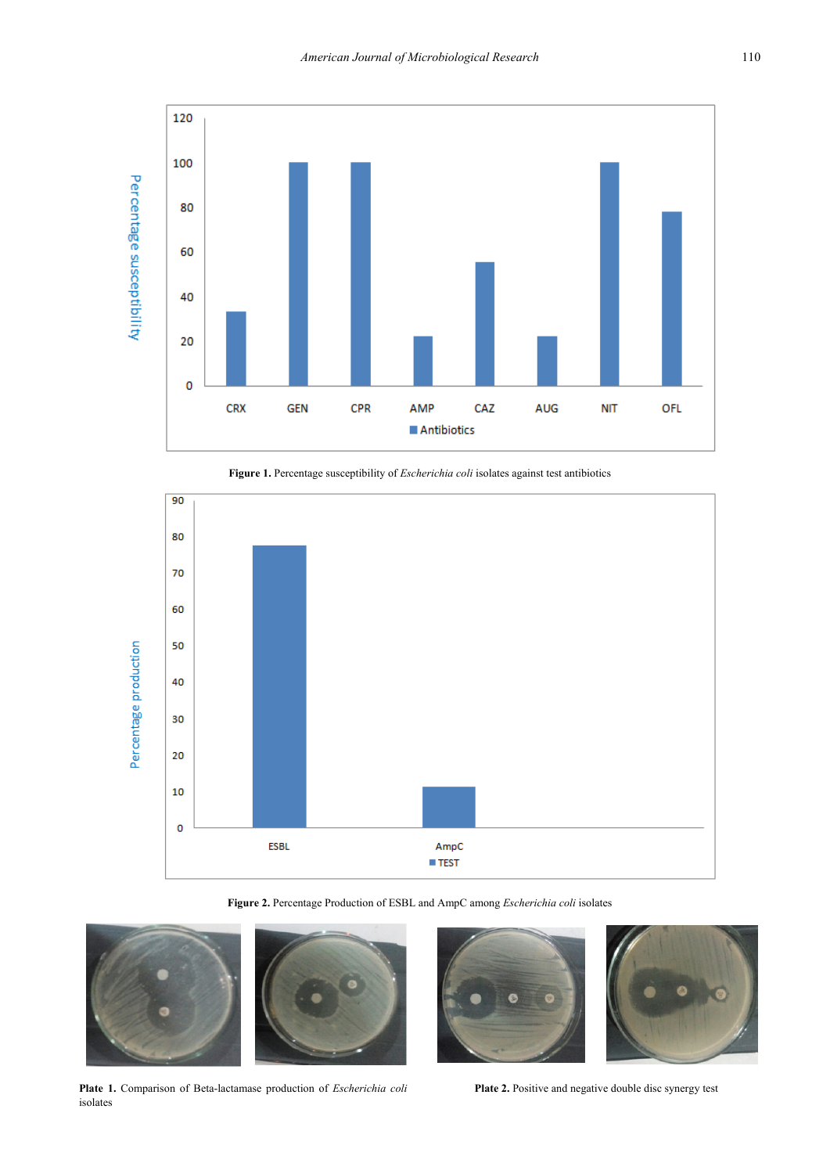<span id="page-3-0"></span>



<span id="page-3-1"></span>

**Figure 2.** Percentage Production of ESBL and AmpC among *Escherichia coli* isolates



**Plate 1.** Comparison of Beta-lactamase production of *Escherichia coli* isolates



Plate 2. Positive and negative double disc synergy test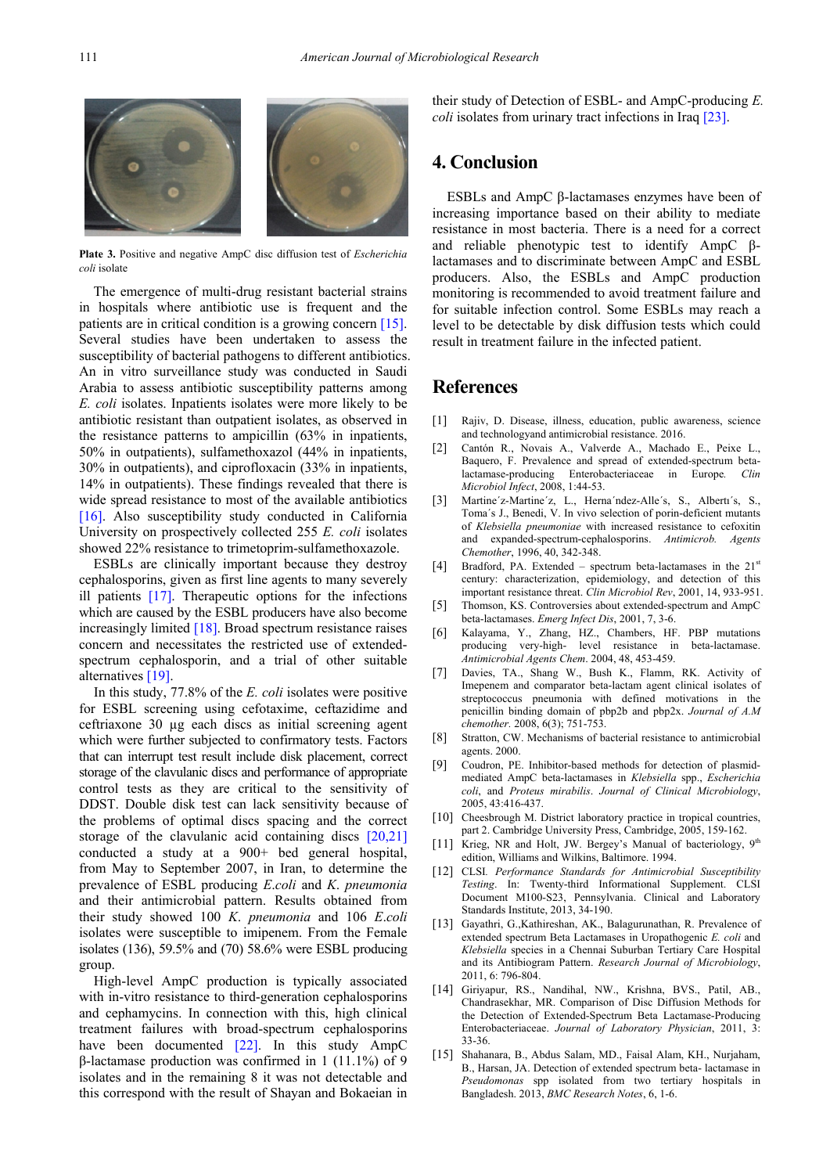

**Plate 3.** Positive and negative AmpC disc diffusion test of *Escherichia coli* isolate

The emergence of multi-drug resistant bacterial strains in hospitals where antibiotic use is frequent and the patients are in critical condition is a growing concern [\[15\].](#page-4-12) Several studies have been undertaken to assess the susceptibility of bacterial pathogens to different antibiotics. An in vitro surveillance study was conducted in Saudi Arabia to assess antibiotic susceptibility patterns among *E. coli* isolates. Inpatients isolates were more likely to be antibiotic resistant than outpatient isolates, as observed in the resistance patterns to ampicillin (63% in inpatients, 50% in outpatients), sulfamethoxazol (44% in inpatients, 30% in outpatients), and ciprofloxacin (33% in inpatients, 14% in outpatients). These findings revealed that there is wide spread resistance to most of the available antibiotics [\[16\].](#page-5-0) Also susceptibility study conducted in California University on prospectively collected 255 *E. coli* isolates showed 22% resistance to trimetoprim-sulfamethoxazole.

ESBLs are clinically important because they destroy cephalosporins, given as first line agents to many severely ill patients [\[17\].](#page-5-1) Therapeutic options for the infections which are caused by the ESBL producers have also become increasingly limited [\[18\].](#page-5-2) Broad spectrum resistance raises concern and necessitates the restricted use of extendedspectrum cephalosporin, and a trial of other suitable alternatives [\[19\].](#page-5-3)

In this study, 77.8% of the *E. coli* isolates were positive for ESBL screening using cefotaxime, ceftazidime and ceftriaxone 30 µg each discs as initial screening agent which were further subjected to confirmatory tests. Factors that can interrupt test result include disk placement, correct storage of the clavulanic discs and performance of appropriate control tests as they are critical to the sensitivity of DDST. Double disk test can lack sensitivity because of the problems of optimal discs spacing and the correct storage of the clavulanic acid containing discs [\[20,21\]](#page-5-4) conducted a study at a 900+ bed general hospital, from May to September 2007, in Iran, to determine the prevalence of ESBL producing *E*.*coli* and *K*. *pneumonia* and their antimicrobial pattern. Results obtained from their study showed 100 *K*. *pneumonia* and 106 *E*.*coli* isolates were susceptible to imipenem. From the Female isolates (136), 59.5% and (70) 58.6% were ESBL producing group.

High-level AmpC production is typically associated with in-vitro resistance to third-generation cephalosporins and cephamycins. In connection with this, high clinical treatment failures with broad-spectrum cephalosporins have been documented [\[22\].](#page-5-5) In this study AmpC β-lactamase production was confirmed in 1 (11.1%) of 9 isolates and in the remaining 8 it was not detectable and this correspond with the result of Shayan and Bokaeian in

their study of Detection of ESBL- and AmpC-producing *E. coli* isolates from urinary tract infections in Ira[q \[23\].](#page-5-6)

## **4. Conclusion**

ESBLs and AmpC β-lactamases enzymes have been of increasing importance based on their ability to mediate resistance in most bacteria. There is a need for a correct and reliable phenotypic test to identify AmpC βlactamases and to discriminate between AmpC and ESBL producers. Also, the ESBLs and AmpC production monitoring is recommended to avoid treatment failure and for suitable infection control. Some ESBLs may reach a level to be detectable by disk diffusion tests which could result in treatment failure in the infected patient.

## **References**

- <span id="page-4-0"></span>[1] Rajiv, D. Disease, illness, education, public awareness, science and technologyand antimicrobial resistance. 2016.
- <span id="page-4-1"></span>[2] Cantón R., Novais A., Valverde A., Machado E., Peixe L., Baquero, F. Prevalence and spread of extended-spectrum betalactamase-producing Enterobacteriaceae in Europe*. Clin Microbiol Infect*, 2008, 1:44-53.
- <span id="page-4-2"></span>[3] Martine'z-Martine'z, L., Herna'ndez-Alle's, S., Alberti's, S., Toma´s J., Benedi, V. In vivo selection of porin-deficient mutants of *Klebsiella pneumoniae* with increased resistance to cefoxitin and expanded-spectrum-cephalosporins. *Antimicrob. Agents Chemother*, 1996, 40, 342-348.
- [4] Bradford, PA. Extended spectrum beta-lactamases in the  $21^{st}$ century: characterization, epidemiology, and detection of this important resistance threat. *Clin Microbiol Rev*, 2001, 14, 933-951.
- <span id="page-4-3"></span>[5] Thomson, KS. Controversies about extended-spectrum and AmpC beta-lactamases. *Emerg Infect Dis*, 2001, 7, 3-6.
- <span id="page-4-4"></span>[6] Kalayama, Y., Zhang, HZ., Chambers, HF. PBP mutations producing very-high- level resistance in beta-lactamase. *Antimicrobial Agents Chem*. 2004, 48, 453-459.
- <span id="page-4-5"></span>[7] Davies, TA., Shang W., Bush K., Flamm, RK. Activity of Imepenem and comparator beta-lactam agent clinical isolates of streptococcus pneumonia with defined motivations in the penicillin binding domain of pbp2b and pbp2x. *Journal of A.M chemother.* 2008, 6(3); 751-753.
- <span id="page-4-6"></span>Stratton, CW. Mechanisms of bacterial resistance to antimicrobial agents. 2000.
- <span id="page-4-7"></span>[9] Coudron, PE. Inhibitor-based methods for detection of plasmidmediated AmpC beta-lactamases in *Klebsiella* spp., *Escherichia coli*, and *Proteus mirabilis*. *Journal of Clinical Microbiology*, 2005, 43:416-437.
- <span id="page-4-8"></span>[10] Cheesbrough M. District laboratory practice in tropical countries, part 2. Cambridge University Press, Cambridge, 2005, 159-162.
- [11] Krieg, NR and Holt, JW. Bergey's Manual of bacteriology,  $9<sup>th</sup>$ edition, Williams and Wilkins, Baltimore. 1994.
- <span id="page-4-9"></span>[12] CLSI. Performance Standards for Antimicrobial Susceptibility *Testing*. In: Twenty-third Informational Supplement. CLSI Document M100-S23, Pennsylvania. Clinical and Laboratory Standards Institute, 2013, 34-190.
- <span id="page-4-10"></span>[13] Gayathri, G.,Kathireshan, AK., Balagurunathan, R. Prevalence of extended spectrum Beta Lactamases in Uropathogenic *E. coli* and *Klebsiella* species in a Chennai Suburban Tertiary Care Hospital and its Antibiogram Pattern. *Research Journal of Microbiology*, 2011, 6: 796-804.
- <span id="page-4-11"></span>[14] Giriyapur, RS., Nandihal, NW., Krishna, BVS., Patil, AB., Chandrasekhar, MR. Comparison of Disc Diffusion Methods for the Detection of Extended-Spectrum Beta Lactamase-Producing Enterobacteriaceae. *Journal of Laboratory Physician*, 2011, 3: 33-36.
- <span id="page-4-12"></span>[15] Shahanara, B., Abdus Salam, MD., Faisal Alam, KH., Nurjaham, B., Harsan, JA. Detection of extended spectrum beta- lactamase in *Pseudomonas* spp isolated from two tertiary hospitals in Bangladesh. 2013, *BMC Research Notes*, 6, 1-6.